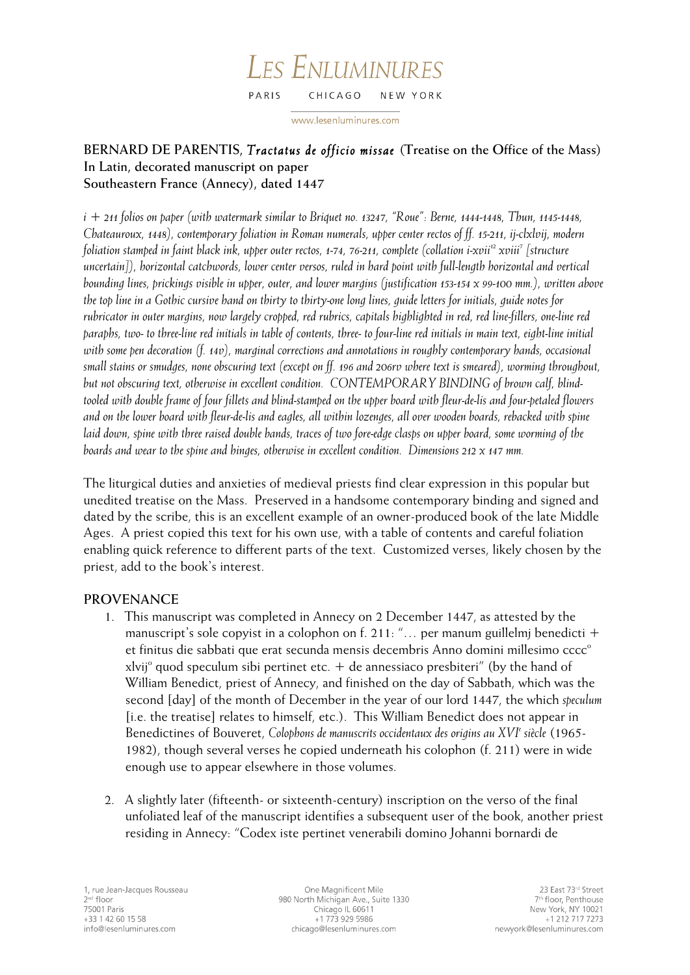#### LES ENLUMINURES PARIS CHICAGO NEW YORK

www.lesenluminures.com

# **BERNARD DE PARENTIS,** *Tractatus de officio missae* **(Treatise on the Office of the Mass) In Latin, decorated manuscript on paper Southeastern France (Annecy), dated 1447**

*i + 211 folios on paper (with watermark similar to Briquet no. 13247, "Roue": Berne, 1444-1448, Thun, 1145-1448, Chateauroux, 1448), contemporary foliation in Roman numerals, upper center rectos of ff. 15-211, ij-clxlvij, modern foliation stamped in faint black ink, upper outer rectos, 1-74, 76-211, complete (collation i-xvii12 xviii7 [structure uncertain]), horizontal catchwords, lower center versos, ruled in hard point with full-length horizontal and vertical bounding lines, prickings visible in upper, outer, and lower margins (justification 153-154 x 99-100 mm.), written above the top line in a Gothic cursive hand on thirty to thirty-one long lines, guide letters for initials, guide notes for rubricator in outer margins, now largely cropped, red rubrics, capitals highlighted in red, red line-fillers, one-line red paraphs, two- to three-line red initials in table of contents, three- to four-line red initials in main text, eight-line initial*  with some pen decoration (f. 14v), marginal corrections and annotations in roughly contemporary hands, occasional *small stains or smudges, none obscuring text (except on ff. 196 and 206rv where text is smeared), worming throughout, but not obscuring text, otherwise in excellent condition. CONTEMPORARY BINDING of brown calf, blindtooled with double frame of four fillets and blind-stamped on the upper board with fleur-de-lis and four-petaled flowers and on the lower board with fleur-de-lis and eagles, all within lozenges, all over wooden boards, rebacked with spine laid down, spine with three raised double bands, traces of two fore-edge clasps on upper board, some worming of the boards and wear to the spine and hinges, otherwise in excellent condition. Dimensions 212 x 147 mm.*

The liturgical duties and anxieties of medieval priests find clear expression in this popular but unedited treatise on the Mass. Preserved in a handsome contemporary binding and signed and dated by the scribe, this is an excellent example of an owner-produced book of the late Middle Ages. A priest copied this text for his own use, with a table of contents and careful foliation enabling quick reference to different parts of the text. Customized verses, likely chosen by the priest, add to the book's interest.

# **PROVENANCE**

- 1. This manuscript was completed in Annecy on 2 December 1447, as attested by the manuscript's sole copyist in a colophon on f. 211: "... per manum guillelmi benedicti + et finitus die sabbati que erat secunda mensis decembris Anno domini millesimo cccc<sup>o</sup> xlvij<sup>o</sup> quod speculum sibi pertinet etc.  $+$  de annessiaco presbiteri" (by the hand of William Benedict, priest of Annecy, and finished on the day of Sabbath, which was the second [day] of the month of December in the year of our lord 1447, the which *speculum*  [i.e. the treatise] relates to himself, etc.). This William Benedict does not appear in Benedictines of Bouveret, Colophons de manuscrits occidentaux des origins au XVI<sup>e</sup> siècle (1965-1982), though several verses he copied underneath his colophon (f. 211) were in wide enough use to appear elsewhere in those volumes.
- 2. A slightly later (fifteenth- or sixteenth-century) inscription on the verso of the final unfoliated leaf of the manuscript identifies a subsequent user of the book, another priest residing in Annecy: "Codex iste pertinet venerabili domino Johanni bornardi de

One Magnificent Mile 980 North Michigan Ave., Suite 1330 Chicago IL 60611 +1 773 929 5986 chicago@lesenluminures.com

23 East 73rd Street 7<sup>th</sup> floor, Penthouse New York, NY 10021 +1 212 717 7273 newyork@lesenluminures.com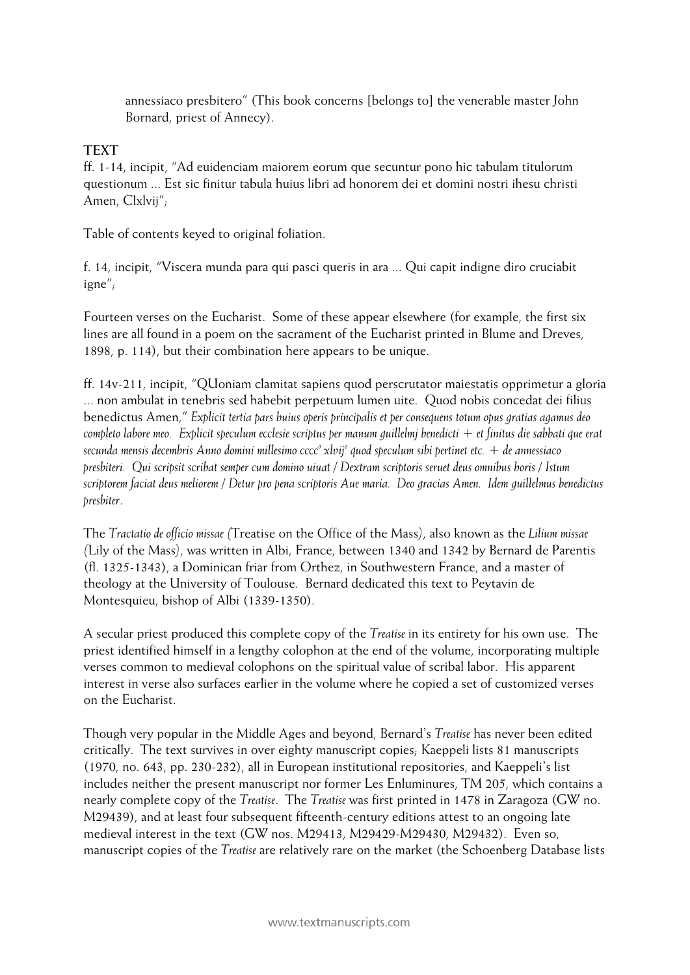annessiaco presbitero" (This book concerns [belongs to] the venerable master John Bornard, priest of Annecy).

### **TEXT**

ff. 1-14, incipit, "Ad euidenciam maiorem eorum que secuntur pono hic tabulam titulorum questionum ... Est sic finitur tabula huius libri ad honorem dei et domini nostri ihesu christi Amen, Clxlvij";

Table of contents keyed to original foliation.

f. 14, incipit, "Viscera munda para qui pasci queris in ara ... Qui capit indigne diro cruciabit igne";

Fourteen verses on the Eucharist. Some of these appear elsewhere (for example, the first six lines are all found in a poem on the sacrament of the Eucharist printed in Blume and Dreves, 1898, p. 114), but their combination here appears to be unique.

ff. 14v-211, incipit, "QUoniam clamitat sapiens quod perscrutator maiestatis opprimetur a gloria ... non ambulat in tenebris sed habebit perpetuum lumen uite. Quod nobis concedat dei filius benedictus Amen," *Explicit tertia pars huius operis principalis et per consequens totum opus gratias agamus deo completo labore meo. Explicit speculum ecclesie scriptus per manum guillelmj benedicti + et finitus die sabbati que erat secunda mensis decembris Anno domini millesimo cccco xlvijo quod speculum sibi pertinet etc. + de annessiaco presbiteri. Qui scripsit scribat semper cum domino uiuat / Dextram scriptoris seruet deus omnibus horis / Istum scriptorem faciat deus meliorem / Detur pro pena scriptoris Aue maria. Deo gracias Amen. Idem guillelmus benedictus presbiter*.

The *Tractatio de officio missae (*Treatise on the Office of the Mass*)*, also known as the *Lilium missae (*Lily of the Mass*)*, was written in Albi, France, between 1340 and 1342 by Bernard de Parentis (fl. 1325-1343), a Dominican friar from Orthez, in Southwestern France, and a master of theology at the University of Toulouse. Bernard dedicated this text to Peytavin de Montesquieu, bishop of Albi (1339-1350).

A secular priest produced this complete copy of the *Treatise* in its entirety for his own use. The priest identified himself in a lengthy colophon at the end of the volume, incorporating multiple verses common to medieval colophons on the spiritual value of scribal labor. His apparent interest in verse also surfaces earlier in the volume where he copied a set of customized verses on the Eucharist.

Though very popular in the Middle Ages and beyond, Bernard's *Treatise* has never been edited critically. The text survives in over eighty manuscript copies; Kaeppeli lists 81 manuscripts (1970, no. 643, pp. 230-232), all in European institutional repositories, and Kaeppeli's list includes neither the present manuscript nor former Les Enluminures, TM 205, which contains a nearly complete copy of the *Treatise*. The *Treatise* was first printed in 1478 in Zaragoza (GW no. M29439), and at least four subsequent fifteenth-century editions attest to an ongoing late medieval interest in the text (GW nos. M29413, M29429-M29430, M29432). Even so, manuscript copies of the *Treatise* are relatively rare on the market (the Schoenberg Database lists